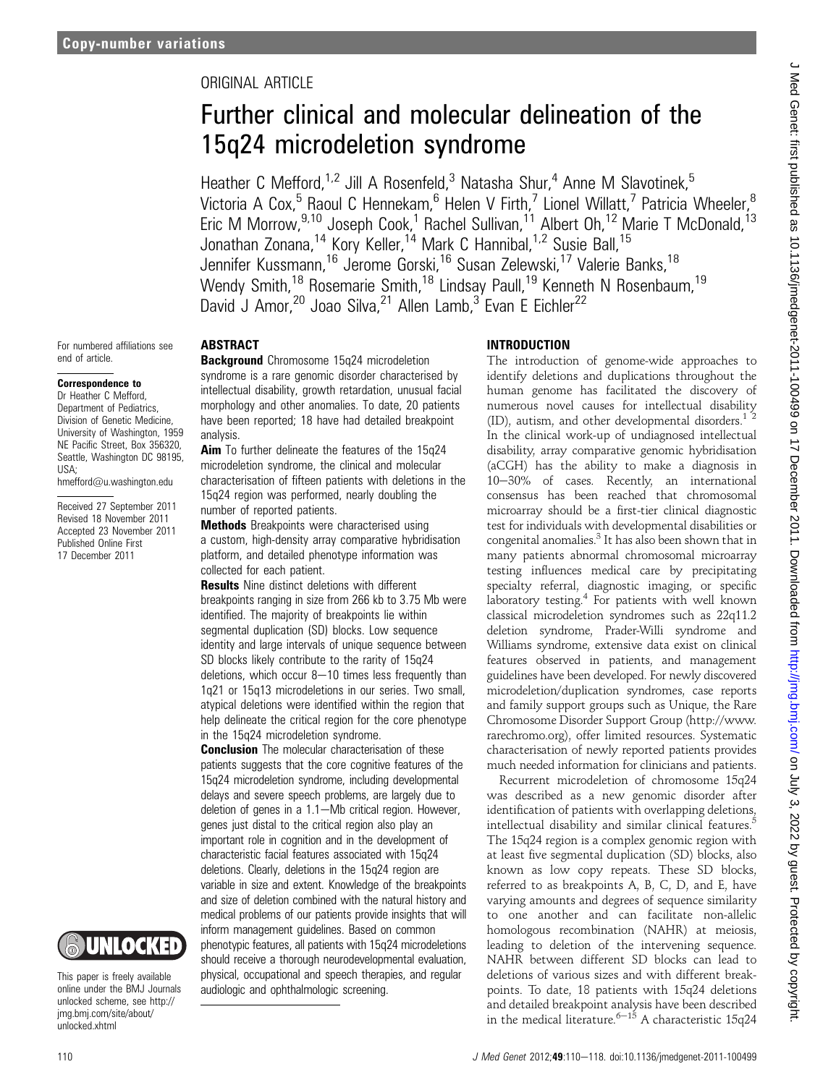## ORIGINAL ARTICLE

# Further clinical and molecular delineation of the 15q24 microdeletion syndrome

Heather C Mefford,<sup>1,2</sup> Jill A Rosenfeld,<sup>3</sup> Natasha Shur,<sup>4</sup> Anne M Slavotinek,<sup>5</sup> Victoria A Cox,<sup>5</sup> Raoul C Hennekam,<sup>6</sup> Helen V Firth,<sup>7</sup> Lionel Willatt,<sup>7</sup> Patricia Wheeler,<sup>8</sup> Eric M Morrow,<sup>9,10</sup> Joseph Cook,<sup>1</sup> Rachel Sullivan,<sup>11</sup> Albert Oh,<sup>12</sup> Marie T McDonald,<sup>13</sup> Jonathan Zonana,<sup>14</sup> Kory Keller,<sup>14</sup> Mark C Hannibal,<sup>1,2</sup> Susie Ball,<sup>15</sup> Jennifer Kussmann,<sup>16</sup> Jerome Gorski,<sup>16</sup> Susan Zelewski,<sup>17</sup> Valerie Banks,<sup>18</sup> Wendy Smith,<sup>18</sup> Rosemarie Smith,<sup>18</sup> Lindsay Paull,<sup>19</sup> Kenneth N Rosenbaum,<sup>19</sup> David J Amor,<sup>20</sup> Joao Silva,<sup>21</sup> Allen Lamb,<sup>3</sup> Evan E Eichler<sup>22</sup>

For numbered affiliations see end of article.

## Correspondence to

Dr Heather C Mefford, Department of Pediatrics, Division of Genetic Medicine, University of Washington, 1959 NE Pacific Street, Box 356320, Seattle, Washington DC 98195, USA;

hmefford@u.washington.edu

Received 27 September 2011 Revised 18 November 2011 Accepted 23 November 2011 Published Online First 17 December 2011



This paper is freely available online under the BMJ Journals unlocked scheme, see http:// jmg.bmj.com/site/about/ unlocked.xhtml

#### ABSTRACT

**Background** Chromosome 15q24 microdeletion syndrome is a rare genomic disorder characterised by intellectual disability, growth retardation, unusual facial morphology and other anomalies. To date, 20 patients have been reported; 18 have had detailed breakpoint analysis.

**Aim** To further delineate the features of the 15q24 microdeletion syndrome, the clinical and molecular characterisation of fifteen patients with deletions in the 15q24 region was performed, nearly doubling the number of reported patients.

**Methods** Breakpoints were characterised using a custom, high-density array comparative hybridisation platform, and detailed phenotype information was collected for each patient.

**Results** Nine distinct deletions with different breakpoints ranging in size from 266 kb to 3.75 Mb were identified. The majority of breakpoints lie within segmental duplication (SD) blocks. Low sequence identity and large intervals of unique sequence between SD blocks likely contribute to the rarity of 15q24 deletions, which occur  $8-10$  times less frequently than 1q21 or 15q13 microdeletions in our series. Two small, atypical deletions were identified within the region that help delineate the critical region for the core phenotype in the 15q24 microdeletion syndrome.

**Conclusion** The molecular characterisation of these patients suggests that the core cognitive features of the 15q24 microdeletion syndrome, including developmental delays and severe speech problems, are largely due to deletion of genes in a  $1.1-$ Mb critical region. However, genes just distal to the critical region also play an important role in cognition and in the development of characteristic facial features associated with 15q24 deletions. Clearly, deletions in the 15q24 region are variable in size and extent. Knowledge of the breakpoints and size of deletion combined with the natural history and medical problems of our patients provide insights that will inform management guidelines. Based on common phenotypic features, all patients with 15q24 microdeletions should receive a thorough neurodevelopmental evaluation, physical, occupational and speech therapies, and regular audiologic and ophthalmologic screening.

## INTRODUCTION

The introduction of genome-wide approaches to identify deletions and duplications throughout the human genome has facilitated the discovery of numerous novel causes for intellectual disability (ID), autism, and other developmental disorders. $<sup>1</sup>$ </sup> In the clinical work-up of undiagnosed intellectual disability, array comparative genomic hybridisation (aCGH) has the ability to make a diagnosis in 10-30% of cases. Recently, an international consensus has been reached that chromosomal microarray should be a first-tier clinical diagnostic test for individuals with developmental disabilities or congenital anomalies.<sup>3</sup> It has also been shown that in many patients abnormal chromosomal microarray testing influences medical care by precipitating specialty referral, diagnostic imaging, or specific laboratory testing.<sup>4</sup> For patients with well known classical microdeletion syndromes such as 22q11.2 deletion syndrome, Prader-Willi syndrome and Williams syndrome, extensive data exist on clinical features observed in patients, and management guidelines have been developed. For newly discovered microdeletion/duplication syndromes, case reports and family support groups such as Unique, the Rare Chromosome Disorder Support Group (http://www. rarechromo.org), offer limited resources. Systematic characterisation of newly reported patients provides much needed information for clinicians and patients.

Recurrent microdeletion of chromosome 15q24 was described as a new genomic disorder after identification of patients with overlapping deletions, intellectual disability and similar clinical features.<sup>5</sup> The 15q24 region is a complex genomic region with at least five segmental duplication (SD) blocks, also known as low copy repeats. These SD blocks, referred to as breakpoints A, B, C, D, and E, have varying amounts and degrees of sequence similarity to one another and can facilitate non-allelic homologous recombination (NAHR) at meiosis, leading to deletion of the intervening sequence. NAHR between different SD blocks can lead to deletions of various sizes and with different breakpoints. To date, 18 patients with 15q24 deletions and detailed breakpoint analysis have been described<br>in the medical literature.<sup>6–15</sup> A characteristic 15q24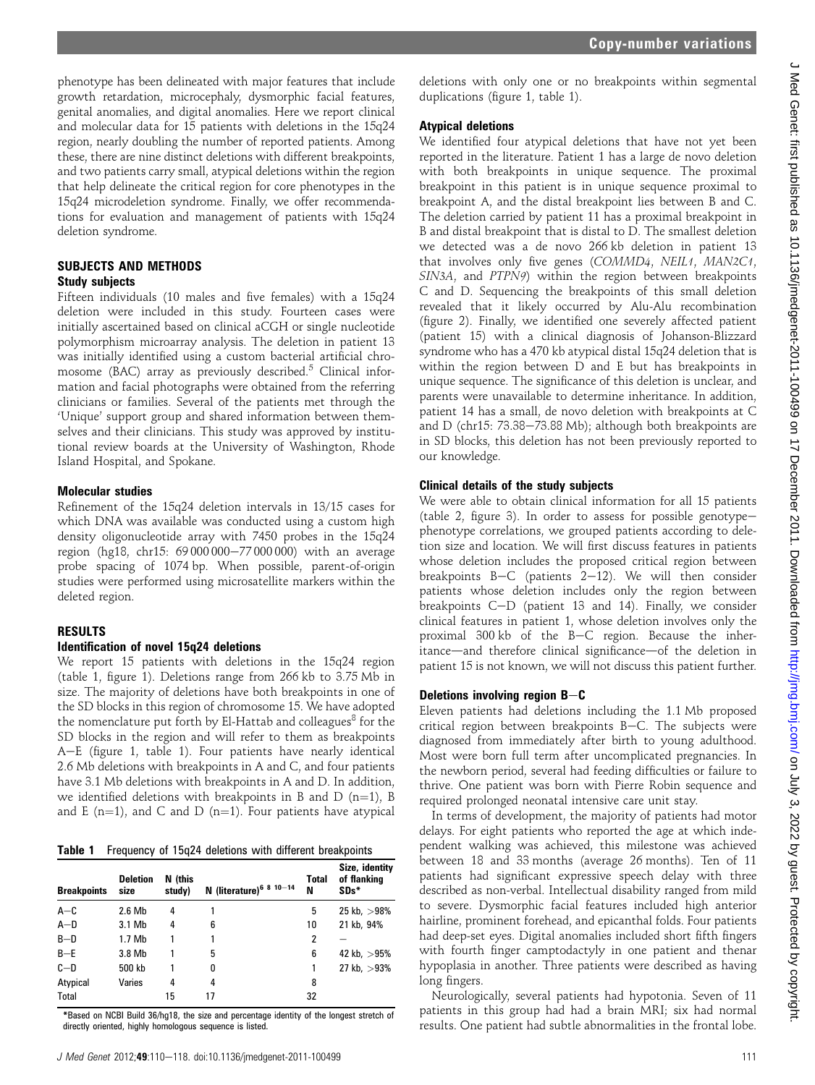phenotype has been delineated with major features that include growth retardation, microcephaly, dysmorphic facial features, genital anomalies, and digital anomalies. Here we report clinical and molecular data for 15 patients with deletions in the 15q24 region, nearly doubling the number of reported patients. Among these, there are nine distinct deletions with different breakpoints, and two patients carry small, atypical deletions within the region that help delineate the critical region for core phenotypes in the 15q24 microdeletion syndrome. Finally, we offer recommendations for evaluation and management of patients with 15q24 deletion syndrome.

## SUBJECTS AND METHODS Study subjects

Fifteen individuals (10 males and five females) with a 15q24 deletion were included in this study. Fourteen cases were initially ascertained based on clinical aCGH or single nucleotide polymorphism microarray analysis. The deletion in patient 13 was initially identified using a custom bacterial artificial chromosome (BAC) array as previously described.<sup>5</sup> Clinical information and facial photographs were obtained from the referring clinicians or families. Several of the patients met through the 'Unique' support group and shared information between themselves and their clinicians. This study was approved by institutional review boards at the University of Washington, Rhode Island Hospital, and Spokane.

#### Molecular studies

Refinement of the 15q24 deletion intervals in 13/15 cases for which DNA was available was conducted using a custom high density oligonucleotide array with 7450 probes in the 15q24 region (hg18, chr15: 69 000 000-77 000 000) with an average probe spacing of 1074 bp. When possible, parent-of-origin studies were performed using microsatellite markers within the deleted region.

## RESULTS

## Identification of novel 15q24 deletions

We report 15 patients with deletions in the 15q24 region (table 1, figure 1). Deletions range from 266 kb to 3.75 Mb in size. The majority of deletions have both breakpoints in one of the SD blocks in this region of chromosome 15. We have adopted the nomenclature put forth by El-Hattab and colleagues<sup>8</sup> for the SD blocks in the region and will refer to them as breakpoints A-E (figure 1, table 1). Four patients have nearly identical 2.6 Mb deletions with breakpoints in A and C, and four patients have 3.1 Mb deletions with breakpoints in A and D. In addition, we identified deletions with breakpoints in B and D (n=1), B and E (n=1), and C and D (n=1). Four patients have atypical

Table 1 Frequency of 15q24 deletions with different breakpoints

| <b>Breakpoints</b> | <b>Deletion</b><br>size | N (this<br>study) | N (literature) <sup>6 8 10-14</sup> | <b>Total</b><br>N | Size, identity<br>of flanking<br>SDs* |
|--------------------|-------------------------|-------------------|-------------------------------------|-------------------|---------------------------------------|
| $A-C$              | 2.6 Mb                  | 4                 |                                     | 5                 | 25 kb, $>98%$                         |
| $A-D$              | 3.1 Mb                  | 4                 | 6                                   | 10                | 21 kb, 94%                            |
| $B-D$              | 1.7 Mb                  |                   |                                     | 2                 |                                       |
| $B - E$            | 3.8 Mb                  |                   | 5                                   | 6                 | 42 kb, $>95%$                         |
| $C - D$            | 500 kb                  |                   | 0                                   |                   | 27 kb, $>93\%$                        |
| Atypical           | Varies                  | 4                 | 4                                   | 8                 |                                       |
| Total              |                         | 15                | 17                                  | 32                |                                       |

\*Based on NCBI Build 36/hg18, the size and percentage identity of the longest stretch of directly oriented, highly homologous sequence is listed.

deletions with only one or no breakpoints within segmental duplications (figure 1, table 1).

## Atypical deletions

We identified four atypical deletions that have not yet been reported in the literature. Patient 1 has a large de novo deletion with both breakpoints in unique sequence. The proximal breakpoint in this patient is in unique sequence proximal to breakpoint A, and the distal breakpoint lies between B and C. The deletion carried by patient 11 has a proximal breakpoint in B and distal breakpoint that is distal to D. The smallest deletion we detected was a de novo 266 kb deletion in patient 13 that involves only five genes (COMMD4, NEIL1, MAN2C1, SIN3A, and PTPN9) within the region between breakpoints C and D. Sequencing the breakpoints of this small deletion revealed that it likely occurred by Alu-Alu recombination (figure 2). Finally, we identified one severely affected patient (patient 15) with a clinical diagnosis of Johanson-Blizzard syndrome who has a 470 kb atypical distal 15q24 deletion that is within the region between D and E but has breakpoints in unique sequence. The significance of this deletion is unclear, and parents were unavailable to determine inheritance. In addition, patient 14 has a small, de novo deletion with breakpoints at C and D (chr15:  $73.38-73.88$  Mb); although both breakpoints are in SD blocks, this deletion has not been previously reported to our knowledge.

## Clinical details of the study subjects

We were able to obtain clinical information for all 15 patients (table 2, figure 3). In order to assess for possible genotypephenotype correlations, we grouped patients according to deletion size and location. We will first discuss features in patients whose deletion includes the proposed critical region between breakpoints B-C (patients  $2-12$ ). We will then consider patients whose deletion includes only the region between breakpoints C-D (patient 13 and 14). Finally, we consider clinical features in patient 1, whose deletion involves only the proximal  $300$  kb of the B-C region. Because the inheritance—and therefore clinical significance—of the deletion in patient 15 is not known, we will not discuss this patient further.

## Deletions involving region  $B - C$

Eleven patients had deletions including the 1.1 Mb proposed critical region between breakpoints  $B-C$ . The subjects were diagnosed from immediately after birth to young adulthood. Most were born full term after uncomplicated pregnancies. In the newborn period, several had feeding difficulties or failure to thrive. One patient was born with Pierre Robin sequence and required prolonged neonatal intensive care unit stay.

In terms of development, the majority of patients had motor delays. For eight patients who reported the age at which independent walking was achieved, this milestone was achieved between 18 and 33 months (average 26 months). Ten of 11 patients had significant expressive speech delay with three described as non-verbal. Intellectual disability ranged from mild to severe. Dysmorphic facial features included high anterior hairline, prominent forehead, and epicanthal folds. Four patients had deep-set eyes. Digital anomalies included short fifth fingers with fourth finger camptodactyly in one patient and thenar hypoplasia in another. Three patients were described as having long fingers.

Neurologically, several patients had hypotonia. Seven of 11 patients in this group had had a brain MRI; six had normal results. One patient had subtle abnormalities in the frontal lobe.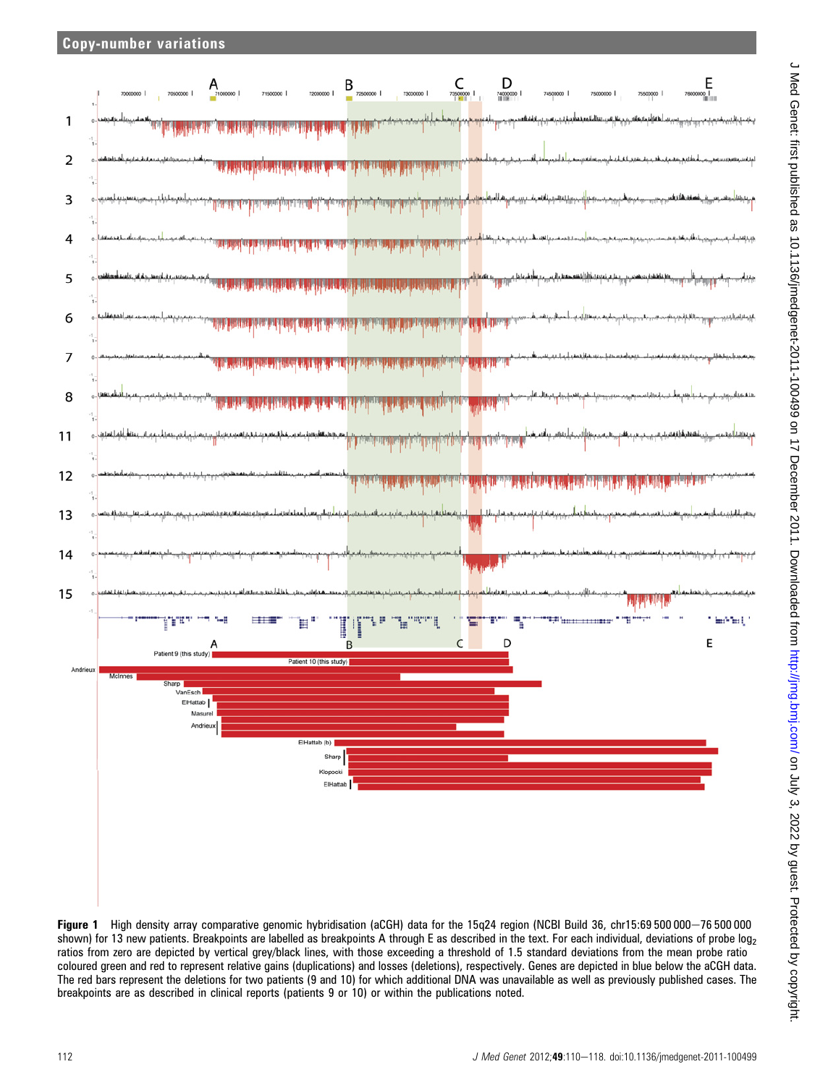

Figure 1 High density array comparative genomic hybridisation (aCGH) data for the 15q24 region (NCBI Build 36, chr15:69 500 000-76 500 000 shown) for 13 new patients. Breakpoints are labelled as breakpoints A through E as described in the text. For each individual, deviations of probe log<sub>2</sub> ratios from zero are depicted by vertical grey/black lines, with those exceeding a threshold of 1.5 standard deviations from the mean probe ratio coloured green and red to represent relative gains (duplications) and losses (deletions), respectively. Genes are depicted in blue below the aCGH data. The red bars represent the deletions for two patients (9 and 10) for which additional DNA was unavailable as well as previously published cases. The breakpoints are as described in clinical reports (patients 9 or 10) or within the publications noted.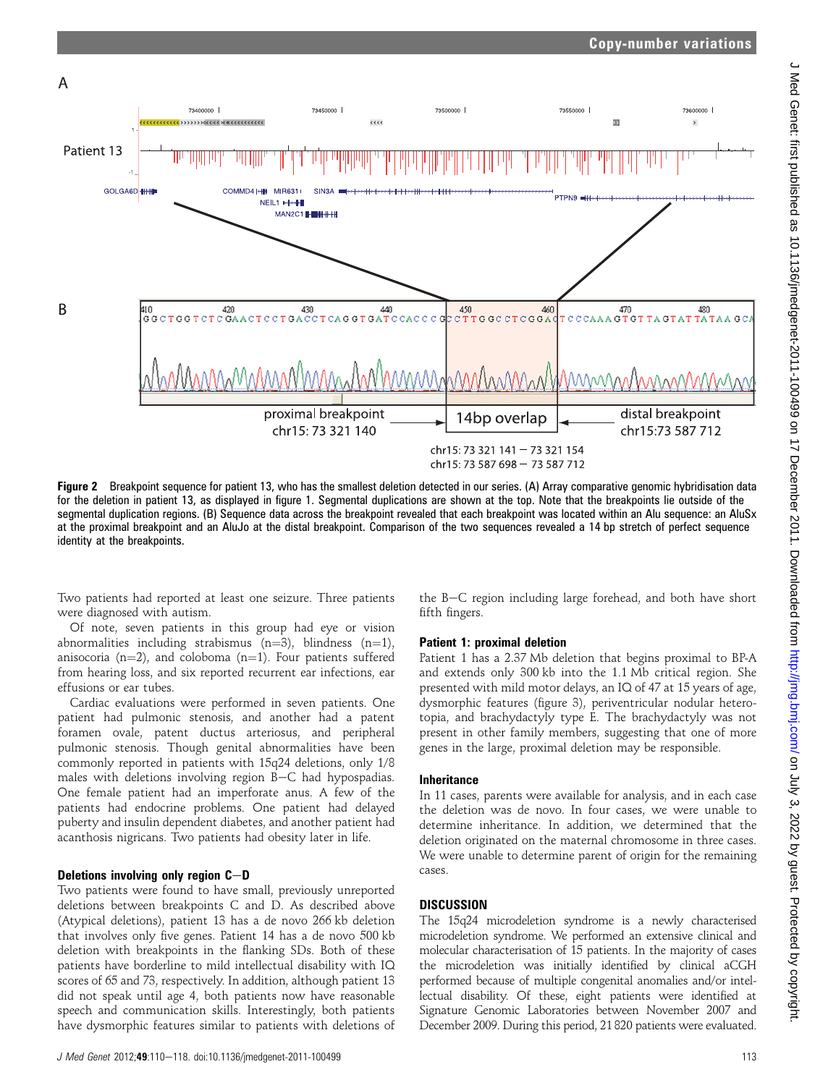Copy-number variations



Figure 2 Breakpoint sequence for patient 13, who has the smallest deletion detected in our series. (A) Array comparative genomic hybridisation data for the deletion in patient 13, as displayed in figure 1. Segmental duplications are shown at the top. Note that the breakpoints lie outside of the segmental duplication regions. (B) Sequence data across the breakpoint revealed that each breakpoint was located within an Alu sequence: an AluSx at the proximal breakpoint and an AluJo at the distal breakpoint. Comparison of the two sequences revealed a 14 bp stretch of perfect sequence identity at the breakpoints.

Two patients had reported at least one seizure. Three patients were diagnosed with autism.

Of note, seven patients in this group had eye or vision abnormalities including strabismus (n=3), blindness (n=1), anisocoria (n=2), and coloboma (n=1). Four patients suffered from hearing loss, and six reported recurrent ear infections, ear effusions or ear tubes.

Cardiac evaluations were performed in seven patients. One patient had pulmonic stenosis, and another had a patent foramen ovale, patent ductus arteriosus, and peripheral pulmonic stenosis. Though genital abnormalities have been commonly reported in patients with 15q24 deletions, only 1/8 males with deletions involving region  $B-C$  had hypospadias. One female patient had an imperforate anus. A few of the patients had endocrine problems. One patient had delayed puberty and insulin dependent diabetes, and another patient had acanthosis nigricans. Two patients had obesity later in life.

#### Deletions involving only region  $C-D$

Two patients were found to have small, previously unreported deletions between breakpoints C and D. As described above (Atypical deletions), patient 13 has a de novo 266 kb deletion that involves only five genes. Patient 14 has a de novo 500 kb deletion with breakpoints in the flanking SDs. Both of these patients have borderline to mild intellectual disability with IQ scores of 65 and 73, respectively. In addition, although patient 13 did not speak until age 4, both patients now have reasonable speech and communication skills. Interestingly, both patients have dysmorphic features similar to patients with deletions of

the B-C region including large forehead, and both have short fifth fingers.

#### Patient 1: proximal deletion

Patient 1 has a 2.37 Mb deletion that begins proximal to BP-A and extends only 300 kb into the 1.1 Mb critical region. She presented with mild motor delays, an IQ of 47 at 15 years of age, dysmorphic features (figure 3), periventricular nodular heterotopia, and brachydactyly type E. The brachydactyly was not present in other family members, suggesting that one of more genes in the large, proximal deletion may be responsible.

#### Inheritance

In 11 cases, parents were available for analysis, and in each case the deletion was de novo. In four cases, we were unable to determine inheritance. In addition, we determined that the deletion originated on the maternal chromosome in three cases. We were unable to determine parent of origin for the remaining cases.

#### **DISCUSSION**

The 15q24 microdeletion syndrome is a newly characterised microdeletion syndrome. We performed an extensive clinical and molecular characterisation of 15 patients. In the majority of cases the microdeletion was initially identified by clinical aCGH performed because of multiple congenital anomalies and/or intellectual disability. Of these, eight patients were identified at Signature Genomic Laboratories between November 2007 and December 2009. During this period, 21 820 patients were evaluated.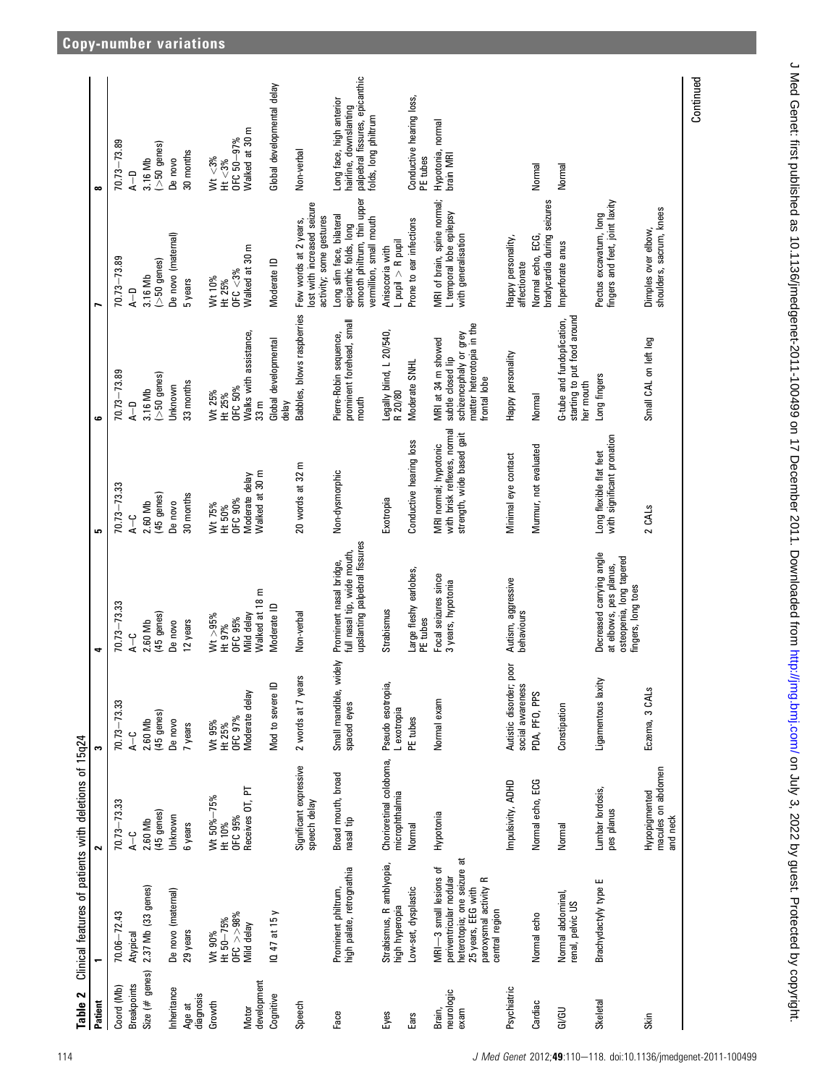| Table 2                      | Clinical features of patients with deletions of 15q24                                                                                             |                                                 |                                                |                                                                                                      |                                                                                   |                                                                                                                |                                                                                                               |                                                                                                              |
|------------------------------|---------------------------------------------------------------------------------------------------------------------------------------------------|-------------------------------------------------|------------------------------------------------|------------------------------------------------------------------------------------------------------|-----------------------------------------------------------------------------------|----------------------------------------------------------------------------------------------------------------|---------------------------------------------------------------------------------------------------------------|--------------------------------------------------------------------------------------------------------------|
| Patient                      |                                                                                                                                                   | $\sim$                                          | S                                              | ٠                                                                                                    | S                                                                                 | $\bullet$                                                                                                      | ∼                                                                                                             | $\infty$                                                                                                     |
| Coord (Mb)                   | $70.06 - 72.43$                                                                                                                                   | $70.73 - 73.33$                                 | $70.73 - 73.33$                                | $70.73 - 73.33$                                                                                      | 70.73-73.33                                                                       | $70.73 - 73.89$                                                                                                | $70.73 - 73.89$                                                                                               | 70.73-73.89                                                                                                  |
| <b>Breakpoints</b>           | Atypical                                                                                                                                          | $\frac{1}{4}$                                   | $A - C$                                        | $\frac{1}{4}$                                                                                        | ں<br>⊿                                                                            | $A - D$                                                                                                        | $A - D$                                                                                                       | $A - D$                                                                                                      |
| Size $(\#$ genes)            | 2.37 Mb (33 genes)                                                                                                                                | 2.60 Mb                                         | 2.60 Mb                                        | 2.60 Mb                                                                                              | 2.60 Mb                                                                           | 3.16 Mb                                                                                                        | 3.16 Mb                                                                                                       | 3.16 Mb                                                                                                      |
|                              |                                                                                                                                                   | (45 genes)                                      | (45 genes)                                     | (45 genes)                                                                                           | (45 genes)                                                                        | $(>50$ genes)                                                                                                  | $(>50$ genes)                                                                                                 | $($ >50 genes)                                                                                               |
| Inheritance                  | De novo (maternal)                                                                                                                                | Unknown                                         | De novo                                        | De novo                                                                                              | De novo                                                                           | Unknown                                                                                                        | De novo (maternal)                                                                                            | De novo                                                                                                      |
| diagnosis<br>Age at          | 29 years                                                                                                                                          | 6 years                                         | 7 years                                        | 12 years                                                                                             | 30 months                                                                         | 33 months                                                                                                      | 5 years                                                                                                       | 30 months                                                                                                    |
| Growth                       | Wt 90%<br>Ht 50-75%                                                                                                                               | Wt 50%-75%                                      | Wt 95%                                         | Wt > 95%                                                                                             | Wt 75%                                                                            | Wt 25%                                                                                                         | Wt 10%                                                                                                        | Wt < 3%                                                                                                      |
|                              | 0 FC > 98%                                                                                                                                        | OFC 95%<br>Ht 10%                               | Ht 25%                                         | <b>OFC 95%</b><br>Ht 97%                                                                             | <b>OFC 90%</b><br>Ht 50%                                                          | OFC 50%<br>Ht 25%                                                                                              | Ht 25%                                                                                                        | OFC 50-97%<br>Ht $<$ 3%                                                                                      |
| development<br>Motor         | Mild delay                                                                                                                                        | Receives OT, PT                                 | OFC 97%<br>Moderate delay                      | Walked at 18 m<br>Mild delay                                                                         | Walked at 30 m<br>Moderate delay                                                  | Walks with assistance,<br>33 <sub>m</sub>                                                                      | OFC $<$ 3%<br>Walked at 30 m                                                                                  | Walked at 30 m                                                                                               |
| Cognitive                    | $10.47$ at 15 y                                                                                                                                   |                                                 | Mod to severe ID                               | Moderate ID                                                                                          |                                                                                   | Global developmental<br>delay                                                                                  | Moderate ID                                                                                                   | Global developmental delay                                                                                   |
| Speech                       |                                                                                                                                                   | Significant expressive<br>speech delay          | S<br>2 words at 7 yea                          | Non-verbal                                                                                           | 20 words at 32 m                                                                  | Babbles, blows raspberries                                                                                     | lost with increased seizure<br>activity; some gestures<br>Few words at 2 years,                               | Non-verbal                                                                                                   |
| Face                         | high palate, retrognathia<br>Prominent philtrum,                                                                                                  | Broad mouth, broad<br>nasal tip                 | Small mandible, widely<br>spaced eyes          | upslanting palpebral fissures<br>full nasal tip, wide mouth,<br>Prominent nasal bridge,              | Non-dysmorphic                                                                    | prominent forehead, small<br>Pierre-Robin sequence,<br>mouth                                                   | smooth philtrum, thin upper<br>Long slim face, bilateral<br>vermillion, small mouth<br>epicanthic folds, long | palpebral fissures, epicanthic<br>Long face, high anterior<br>hairline, downslanting<br>folds, long philtrum |
| Eyes                         | Strabismus, R amblyopia,<br>high hyperopia                                                                                                        | Chorioretinal coloboma,<br>microphthalmia       | Pseudo esotropia<br>L exotropia                | Strabismus                                                                                           | Exotropia                                                                         | Legally blind, L 20/540,<br>R 20/80                                                                            | L pupil $>$ R pupil<br>Anisocoria with                                                                        |                                                                                                              |
| Ears                         | Low-set, dysplastic                                                                                                                               | Normal                                          | PE tubes                                       | Large fleshy earlobes,<br>PE tubes                                                                   | Conductive hearing loss                                                           | Moderate SNHL                                                                                                  | Prone to ear infections                                                                                       | Conductive hearing loss,<br>PE tubes                                                                         |
| neurologic<br>Brain,<br>exam | heterotopia; one seizure at<br>25 years, EEG with<br>MRI-3 small lesions of<br>periventricular nodular<br>paroxysmal activity R<br>central region | Hypotonia                                       | Normal exam                                    | Focal seizures since<br>3 years, hypotonia                                                           | with brisk reflexes, normal<br>strength, wide based gait<br>MRI normal; hypotonic | schizencephaly or grey<br>matter heterotopia in the<br>MRI at 34 m showed<br>subtle closed lip<br>frontal lobe | MRI of brain, spine normal;<br>L temporal lobe epilepsy<br>with generalisation                                | Hypotonia, normal<br>brain MRI                                                                               |
| Psychiatric                  |                                                                                                                                                   | Impulsivity, ADHD                               | poor<br>Autistic disorder;<br>social awareness | Autism, aggressive<br>behaviours                                                                     | Minimal eye contact                                                               | Happy personality                                                                                              | Happy personality,<br>affectionate                                                                            |                                                                                                              |
| Cardiac                      | Normal echo                                                                                                                                       | Normal echo, ECG                                | PDA, PFO, PPS                                  |                                                                                                      | Murmur, not evaluated                                                             | Normal                                                                                                         | bradycardia during seizures<br>Normal echo, ECG,                                                              | Normal                                                                                                       |
| GI/GU                        | Normal abdominal,<br>renal, pelvic US                                                                                                             | Normal                                          | Constipation                                   |                                                                                                      |                                                                                   | starting to put food around<br>G-tube and fundoplication,<br>her mouth                                         | Imperforate anus                                                                                              | Normal                                                                                                       |
| Skeletal                     | Brachydactyly type E                                                                                                                              | Lumbar lordosis,<br>pes planus                  | Ligamentous laxity                             | Decreased carrying angle<br>osteopenia, long tapered<br>at elbows, pes planus,<br>fingers, long toes | with significant pronation<br>Long flexible flat feet                             | Long fingers                                                                                                   | fingers and feet, joint laxity<br>Pectus excavatum, long                                                      |                                                                                                              |
| Skin                         |                                                                                                                                                   | macules on abdomen<br>Hypopigmented<br>and neck | Eczema, 3 CALS                                 |                                                                                                      | 2 CALS                                                                            | Small CAL on left leg                                                                                          | shoulders, sacrum, knees<br>Dimples over elbow,                                                               |                                                                                                              |
|                              |                                                                                                                                                   |                                                 |                                                |                                                                                                      |                                                                                   |                                                                                                                |                                                                                                               | Continued                                                                                                    |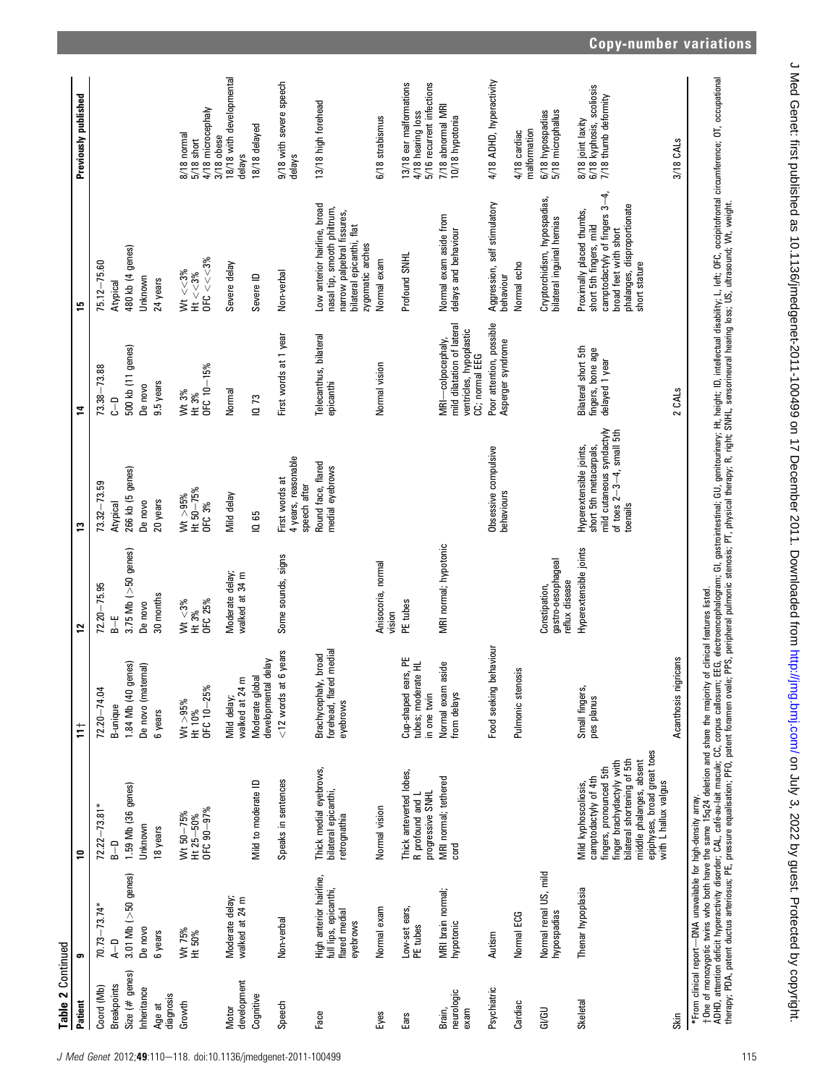| Table 2 Continued            |                                                                               |                                                                                                                                                                                                                        |                                                             |                                                       |                                                                                                                           |                                                                                              |                                                                                                                                                                                                                                   |                                                                          |
|------------------------------|-------------------------------------------------------------------------------|------------------------------------------------------------------------------------------------------------------------------------------------------------------------------------------------------------------------|-------------------------------------------------------------|-------------------------------------------------------|---------------------------------------------------------------------------------------------------------------------------|----------------------------------------------------------------------------------------------|-----------------------------------------------------------------------------------------------------------------------------------------------------------------------------------------------------------------------------------|--------------------------------------------------------------------------|
| Patient                      | ၜ                                                                             | ₽                                                                                                                                                                                                                      | ŧ                                                           | 2                                                     | ະ                                                                                                                         | 2                                                                                            | 15                                                                                                                                                                                                                                | Previously published                                                     |
| Coord (Mb)                   | $70.73 - 73.74*$                                                              | $72.22 - 73.81*$                                                                                                                                                                                                       | $72.20 - 74.04$                                             | $72.20 - 75.95$                                       | $73.32 - 73.59$                                                                                                           | 73.38-73.88                                                                                  | 75.12-75.60                                                                                                                                                                                                                       |                                                                          |
| <b>Breakpoints</b>           | $A - D$                                                                       | $B - D$                                                                                                                                                                                                                | B-unique                                                    | $\frac{1}{6}$                                         | Atypical                                                                                                                  | ۹<br>د                                                                                       | Atypical                                                                                                                                                                                                                          |                                                                          |
| Size $(\#$ genes)            | $3.01$ Mb ( $>50$ genes)                                                      | 1.59 Mb (36 genes)                                                                                                                                                                                                     | jenes)<br>1.84 Mb (40 g                                     | $3.75$ Mb ( $>50$ genes)                              | 266 kb (5 genes)                                                                                                          | 500 kb (11 genes)                                                                            | 480 kb (4 genes)                                                                                                                                                                                                                  |                                                                          |
| Inheritance                  | De novo                                                                       | Unknown                                                                                                                                                                                                                | De novo (matemal)                                           | De novo                                               | De novo                                                                                                                   | De novo                                                                                      | Unknown                                                                                                                                                                                                                           |                                                                          |
| diagnosis<br>Age at          | 6 years                                                                       | 18 years                                                                                                                                                                                                               | 6 years                                                     | 30 months                                             | 20 years                                                                                                                  | 9.5 years                                                                                    | 24 years                                                                                                                                                                                                                          |                                                                          |
| Growth                       | Wt 75%                                                                        | Wt 50-75%                                                                                                                                                                                                              | Wt > 95%                                                    | Wt $< 3\%$                                            | Wt > 95%                                                                                                                  | Wt 3%                                                                                        | $Wt < 3\%$                                                                                                                                                                                                                        | 8/18 normal                                                              |
|                              | Ht 50%                                                                        | $Ht 25 - 50\%$                                                                                                                                                                                                         | Ht 10%                                                      | Ht 3%                                                 | Ht 50-75%                                                                                                                 | Ht 3%                                                                                        | $Ht < 3\%$                                                                                                                                                                                                                        | $5/18$ short                                                             |
|                              |                                                                               | OFC 90-97%                                                                                                                                                                                                             | OFC 10-25%                                                  | OFC 25%                                               | <b>OFC 3%</b>                                                                                                             | OFC 10-15%                                                                                   | OFC $<<3\%$                                                                                                                                                                                                                       | 4/18 microcephaly<br>3/18 obese                                          |
| development<br>Motor         | Moderate delay;<br>walked at 24 m                                             |                                                                                                                                                                                                                        | walked at 24 m<br>Mild delay;                               | Moderate delay;<br>walked at 34 m                     | Mild delay                                                                                                                | Normal                                                                                       | Severe delay                                                                                                                                                                                                                      | 18/18 with developmental<br>delays                                       |
| Cognitive                    |                                                                               | Mild to moderate ID                                                                                                                                                                                                    | delay<br>Moderate global<br>developmental                   |                                                       | IQ 65                                                                                                                     | 1073                                                                                         | Severe ID                                                                                                                                                                                                                         | 18/18 delayed                                                            |
| Speech                       | Non-verbal                                                                    | Speaks in sentences                                                                                                                                                                                                    | 6 years<br>$<$ 12 words at                                  | Some sounds, signs                                    | 4 years, reasonable<br>First words at<br>speech after                                                                     | First words at 1 year                                                                        | Non-verbal                                                                                                                                                                                                                        | 9/18 with severe speech<br>delays                                        |
| Face                         | High anterior hairline,<br>full lips, epicanthi,<br>flared medial<br>eyebrows | Thick medial eyebrows,<br>bilateral epicanthi,<br>retrognathia                                                                                                                                                         | forehead, flared medial<br>Brachycephaly, broad<br>eyebrows |                                                       | Round face, flared<br>medial eyebrows                                                                                     | Telecanthus, bilateral<br>epicanthi                                                          | Low anterior hairline, broad<br>nasal tip, smooth philtrum,<br>narrow palpebral fissures,<br>bilateral epicanthi, flat<br>zygomatic arches                                                                                        | 13/18 high forehead                                                      |
| Eyes                         | Normal exam                                                                   | Normal vision                                                                                                                                                                                                          |                                                             | Anisocoria, normal<br>vision                          |                                                                                                                           | Normal vision                                                                                | Normal exam                                                                                                                                                                                                                       | 6/18 strabismus                                                          |
| Ears                         | Low-set ears,<br>PE tubes                                                     | Thick anteverted lobes,<br>progressive SNHL<br>R profound and L                                                                                                                                                        | Cup-shaped ears, PE<br>tubes; moderate HL<br>in one twin    | PE tubes                                              |                                                                                                                           |                                                                                              | Profound SNHL                                                                                                                                                                                                                     | 3/18 ear malformations<br>5/16 recurrent infections<br>4/18 hearing loss |
| neurologic<br>Brain,<br>exam | MRI brain normal;<br>hypotonic                                                | MRI normal; tethered<br>cord                                                                                                                                                                                           | aside<br>Normal exam<br>from delays                         | MRI normal; hypotonic                                 |                                                                                                                           | mild dilatation of lateral<br>ventricles, hypoplastic<br>MRI-colpocephaly,<br>CC; normal EEG | Normal exam aside from<br>delays and behaviour                                                                                                                                                                                    | 7/18 abnormal MRI<br>10/18 hypotonia                                     |
| Psychiatric                  | Autism                                                                        |                                                                                                                                                                                                                        | behaviour<br>Food seeking                                   |                                                       | Obsessive compulsive<br>behaviours                                                                                        | Poor attention, possible<br>Asperger syndrome                                                | Aggression, self stimulatory<br>behaviour                                                                                                                                                                                         | 4/18 ADHD, hyperactivity                                                 |
| Cardiac                      | Normal ECG                                                                    |                                                                                                                                                                                                                        | Pulmonic stenosis                                           |                                                       |                                                                                                                           |                                                                                              | Normal echo                                                                                                                                                                                                                       | malformation<br>4/18 cardiac                                             |
| <b>GI/GU</b>                 | Normal renal US, mild<br>hypospadias                                          |                                                                                                                                                                                                                        |                                                             | gastro-oesophageal<br>reflux disease<br>Constipation, |                                                                                                                           |                                                                                              | Cryptorchidism, hypospadias,<br>bilateral inguinal hernias                                                                                                                                                                        | 6/18 hypospadias<br>5/18 microphallus                                    |
| Skeletal                     | Thenar hypoplasia                                                             | epiphyses, broad great toes<br>bilateral shortening of 5th<br>finger brachydactyly with<br>middle phalanges, absent<br>fingers, pronounced 5th<br>camptodactyly of 4th<br>with L hallux valgus<br>Mild kyphoscoliosis, | Small fingers,<br>pes planus                                | Hyperextensible joints                                | mild cutaneous syndactyly<br>of toes $2-3-4$ , small 5th<br>Hyperextensible joints,<br>short 5th metacarpals,<br>toenails | Bilateral short 5th<br>fingers, bone age<br>delayed 1 year                                   | camptodactyly of fingers $3-4$ ,<br>phalanges, disproportionate<br>Proximally placed thumbs,<br>short 5th fingers, mild<br>broad feet with short<br>short stature                                                                 | 6/18 kyphosis, scoliosis<br>7/18 thumb deformity<br>8/18 joint laxity    |
| Skin                         |                                                                               |                                                                                                                                                                                                                        | Acanthosis nigricans                                        |                                                       |                                                                                                                           | 2 CALS                                                                                       |                                                                                                                                                                                                                                   | 3/18 CALS                                                                |
|                              | *From clinical report-DNA unavailable for high-density array.                 |                                                                                                                                                                                                                        |                                                             |                                                       |                                                                                                                           |                                                                                              | †One of monozygotic twins who both have the same 15q24 deletion and share the majority of clinical features listed.<br>ADHD, attention deficit hyperactivity disorder; CAL, café-au-lait macule; CC, corpus callosum; EG, electro |                                                                          |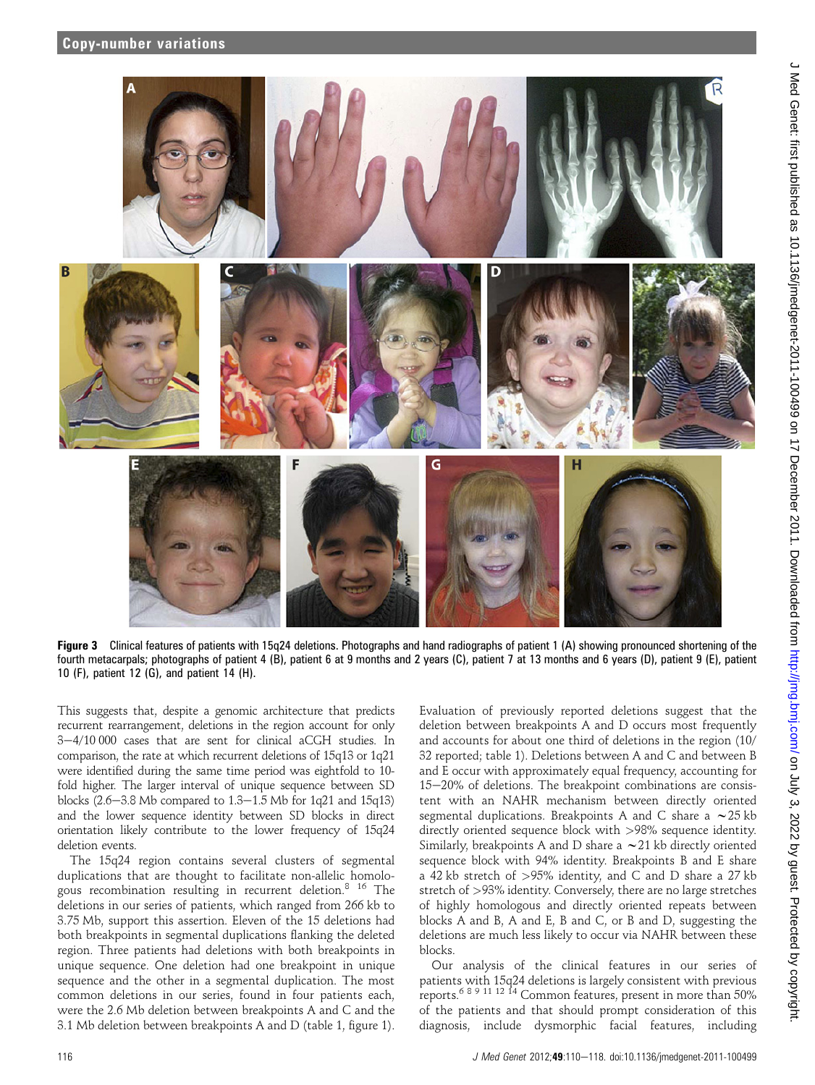

Figure 3 Clinical features of patients with 15q24 deletions. Photographs and hand radiographs of patient 1 (A) showing pronounced shortening of the fourth metacarpals; photographs of patient 4 (B), patient 6 at 9 months and 2 years (C), patient 7 at 13 months and 6 years (D), patient 9 (E), patient 10 (F), patient 12 (G), and patient 14 (H).

This suggests that, despite a genomic architecture that predicts recurrent rearrangement, deletions in the region account for only  $3-4/10000$  cases that are sent for clinical aCGH studies. In comparison, the rate at which recurrent deletions of 15q13 or 1q21 were identified during the same time period was eightfold to 10 fold higher. The larger interval of unique sequence between SD blocks  $(2.6-3.8 \text{ Mb}$  compared to  $1.3-1.5 \text{ Mb}$  for 1q21 and 15q13) and the lower sequence identity between SD blocks in direct orientation likely contribute to the lower frequency of 15q24 deletion events.

The 15q24 region contains several clusters of segmental duplications that are thought to facilitate non-allelic homologous recombination resulting in recurrent deletion.<sup>8</sup> <sup>16</sup> The deletions in our series of patients, which ranged from 266 kb to 3.75 Mb, support this assertion. Eleven of the 15 deletions had both breakpoints in segmental duplications flanking the deleted region. Three patients had deletions with both breakpoints in unique sequence. One deletion had one breakpoint in unique sequence and the other in a segmental duplication. The most common deletions in our series, found in four patients each, were the 2.6 Mb deletion between breakpoints A and C and the 3.1 Mb deletion between breakpoints A and D (table 1, figure 1).

Evaluation of previously reported deletions suggest that the deletion between breakpoints A and D occurs most frequently and accounts for about one third of deletions in the region (10/ 32 reported; table 1). Deletions between A and C and between B and E occur with approximately equal frequency, accounting for  $15-20%$  of deletions. The breakpoint combinations are consistent with an NAHR mechanism between directly oriented segmental duplications. Breakpoints A and C share a  $\sim$  25 kb directly oriented sequence block with >98% sequence identity. Similarly, breakpoints A and D share a  $\sim$  21 kb directly oriented sequence block with 94% identity. Breakpoints B and E share a 42 kb stretch of >95% identity, and C and D share a 27 kb stretch of >93% identity. Conversely, there are no large stretches of highly homologous and directly oriented repeats between blocks A and B, A and E, B and C, or B and D, suggesting the deletions are much less likely to occur via NAHR between these blocks.

Our analysis of the clinical features in our series of patients with 15q24 deletions is largely consistent with previous reports.<sup>6</sup> 8 9 11 12 14 Common features, present in more than 50% of the patients and that should prompt consideration of this diagnosis, include dysmorphic facial features, including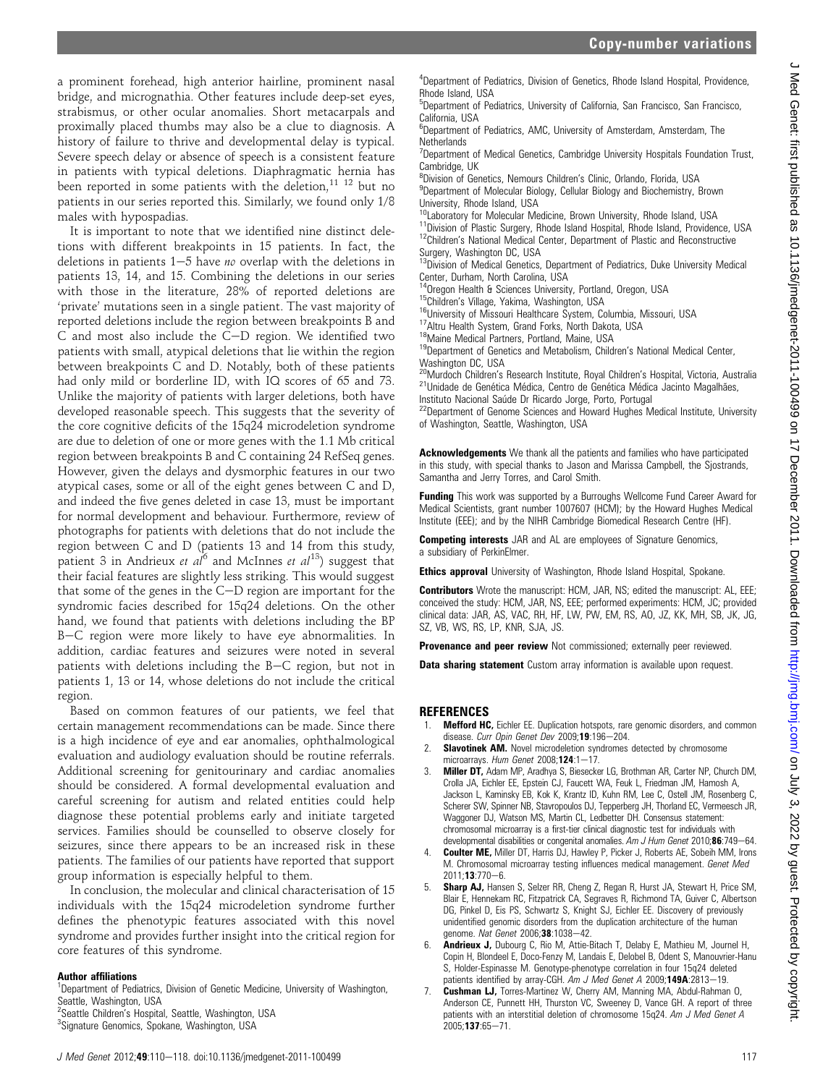a prominent forehead, high anterior hairline, prominent nasal bridge, and micrognathia. Other features include deep-set eyes, strabismus, or other ocular anomalies. Short metacarpals and proximally placed thumbs may also be a clue to diagnosis. A history of failure to thrive and developmental delay is typical. Severe speech delay or absence of speech is a consistent feature in patients with typical deletions. Diaphragmatic hernia has been reported in some patients with the deletion,<sup>11 12</sup> but no patients in our series reported this. Similarly, we found only 1/8 males with hypospadias.

It is important to note that we identified nine distinct deletions with different breakpoints in 15 patients. In fact, the deletions in patients  $1-5$  have no overlap with the deletions in patients 13, 14, and 15. Combining the deletions in our series with those in the literature, 28% of reported deletions are 'private' mutations seen in a single patient. The vast majority of reported deletions include the region between breakpoints B and  $C$  and most also include the  $C-D$  region. We identified two patients with small, atypical deletions that lie within the region between breakpoints C and D. Notably, both of these patients had only mild or borderline ID, with IQ scores of 65 and 73. Unlike the majority of patients with larger deletions, both have developed reasonable speech. This suggests that the severity of the core cognitive deficits of the 15q24 microdeletion syndrome are due to deletion of one or more genes with the 1.1 Mb critical region between breakpoints B and C containing 24 RefSeq genes. However, given the delays and dysmorphic features in our two atypical cases, some or all of the eight genes between C and D, and indeed the five genes deleted in case 13, must be important for normal development and behaviour. Furthermore, review of photographs for patients with deletions that do not include the region between C and D (patients 13 and 14 from this study, patient 3 in Andrieux et  $al^6$  and McInnes et  $al^{13}$ ) suggest that their facial features are slightly less striking. This would suggest that some of the genes in the  $C-D$  region are important for the syndromic facies described for 15q24 deletions. On the other hand, we found that patients with deletions including the BP B-C region were more likely to have eye abnormalities. In addition, cardiac features and seizures were noted in several patients with deletions including the  $B-C$  region, but not in patients 1, 13 or 14, whose deletions do not include the critical region.

Based on common features of our patients, we feel that certain management recommendations can be made. Since there is a high incidence of eye and ear anomalies, ophthalmological evaluation and audiology evaluation should be routine referrals. Additional screening for genitourinary and cardiac anomalies should be considered. A formal developmental evaluation and careful screening for autism and related entities could help diagnose these potential problems early and initiate targeted services. Families should be counselled to observe closely for seizures, since there appears to be an increased risk in these patients. The families of our patients have reported that support group information is especially helpful to them.

In conclusion, the molecular and clinical characterisation of 15 individuals with the 15q24 microdeletion syndrome further defines the phenotypic features associated with this novel syndrome and provides further insight into the critical region for core features of this syndrome.

## Author affiliations

<sup>1</sup>Department of Pediatrics, Division of Genetic Medicine, University of Washington, Seattle, Washington, USA <sup>2</sup>Seattle Children's Hospital, Seattle, Washington, USA

<sup>3</sup>Signature Genomics, Spokane, Washington, USA

4 Department of Pediatrics, Division of Genetics, Rhode Island Hospital, Providence, Rhode Island, USA

5 Department of Pediatrics, University of California, San Francisco, San Francisco, California, USA

6 Department of Pediatrics, AMC, University of Amsterdam, Amsterdam, The **Netherlands** 

<sup>7</sup>Department of Medical Genetics, Cambridge University Hospitals Foundation Trust, Cambridge, UK

8 Division of Genetics, Nemours Children's Clinic, Orlando, Florida, USA

<sup>9</sup>Department of Molecular Biology, Cellular Biology and Biochemistry, Brown University, Rhode Island, USA<br><sup>10</sup>Laboratory for Molecular Medicine, Brown University, Rhode Island, USA

<sup>11</sup>Division of Plastic Surgery, Rhode Island Hospital, Rhode Island, Providence, USA<br><sup>12</sup>Children's National Medical Center, Department of Plastic and Reconstructive Surgery, Washington DC, USA

<sup>13</sup>Division of Medical Genetics, Department of Pediatrics, Duke University Medical

Center, Durham, North Carolina, USA<br><sup>14</sup>Oregon Health & Sciences University, Portland, Oregon, USA

<sup>15</sup>Children's Village, Yakima, Washington, USA<br><sup>16</sup>University of Missouri Healthcare System, Columbia, Missouri, USA<br><sup>17</sup>Altru Health System, Grand Forks, North Dakota, USA<br><sup>18</sup>Maine Medical Partners, Portland, Maine, USA

Washington DC, USA

<sup>20</sup>Murdoch Children's Research Institute, Royal Children's Hospital, Victoria, Australia <sup>21</sup>Unidade de Genética Médica, Centro de Genetica Médica, Centro de Genetica Médica Jacinto Magalhães,

Instituto Nacional Saúde Dr Ricardo Jorge, Porto, Portugal<br><sup>22</sup>Department of Genome Sciences and Howard Hughes Medical Institute, University of Washington, Seattle, Washington, USA

Acknowledgements We thank all the patients and families who have participated in this study, with special thanks to Jason and Marissa Campbell, the Sjostrands, Samantha and Jerry Torres, and Carol Smith.

**Funding** This work was supported by a Burroughs Wellcome Fund Career Award for Medical Scientists, grant number 1007607 (HCM); by the Howard Hughes Medical Institute (EEE); and by the NIHR Cambridge Biomedical Research Centre (HF).

**Competing interests** JAR and AL are employees of Signature Genomics, a subsidiary of PerkinElmer.

Ethics approval University of Washington, Rhode Island Hospital, Spokane.

Contributors Wrote the manuscript: HCM, JAR, NS; edited the manuscript: AL, EEE; conceived the study: HCM, JAR, NS, EEE; performed experiments: HCM, JC; provided clinical data: JAR, AS, VAC, RH, HF, LW, PW, EM, RS, AO, JZ, KK, MH, SB, JK, JG, SZ, VB, WS, RS, LP, KNR, SJA, JS.

Provenance and peer review Not commissioned; externally peer reviewed.

Data sharing statement Custom array information is available upon request.

#### REFERENCES

- Mefford HC, Eichler EE. Duplication hotspots, rare genomic disorders, and common disease. Curr Opin Genet Dev 2009;19:196-204.
- Slavotinek AM. Novel microdeletion syndromes detected by chromosome microarrays. Hum Genet  $2008; 124:1-17$ .
- **Miller DT, Adam MP, Aradhya S, Biesecker LG, Brothman AR, Carter NP, Church DM,** Crolla JA, Eichler EE, Epstein CJ, Faucett WA, Feuk L, Friedman JM, Hamosh A, Jackson L, Kaminsky EB, Kok K, Krantz ID, Kuhn RM, Lee C, Ostell JM, Rosenberg C, Scherer SW, Spinner NB, Stavropoulos DJ, Tepperberg JH, Thorland EC, Vermeesch JR, Waggoner DJ, Watson MS, Martin CL, Ledbetter DH. Consensus statement: chromosomal microarray is a first-tier clinical diagnostic test for individuals with developmental disabilities or congenital anomalies. Am J Hum Genet 2010;86:749-64.
- Coulter ME, Miller DT, Harris DJ, Hawley P, Picker J, Roberts AE, Sobeih MM, Irons M. Chromosomal microarray testing influences medical management. Genet Med 2011;13:770-6.
- Sharp AJ, Hansen S, Selzer RR, Cheng Z, Regan R, Hurst JA, Stewart H, Price SM, Blair E, Hennekam RC, Fitzpatrick CA, Segraves R, Richmond TA, Guiver C, Albertson DG, Pinkel D, Eis PS, Schwartz S, Knight SJ, Eichler EE. Discovery of previously unidentified genomic disorders from the duplication architecture of the human genome. Nat Genet 2006;38:1038-42.
- 6. Andrieux J, Dubourg C, Rio M, Attie-Bitach T, Delaby E, Mathieu M, Journel H, Copin H, Blondeel E, Doco-Fenzy M, Landais E, Delobel B, Odent S, Manouvrier-Hanu S, Holder-Espinasse M. Genotype-phenotype correlation in four 15q24 deleted patients identified by array-CGH. Am J Med Genet A 2009;149A:2813-19.
- 7. Cushman LJ, Torres-Martinez W, Cherry AM, Manning MA, Abdul-Rahman O, Anderson CE, Punnett HH, Thurston VC, Sweeney D, Vance GH. A report of three patients with an interstitial deletion of chromosome 15q24. Am J Med Genet A  $2005:137:65 - 71.$